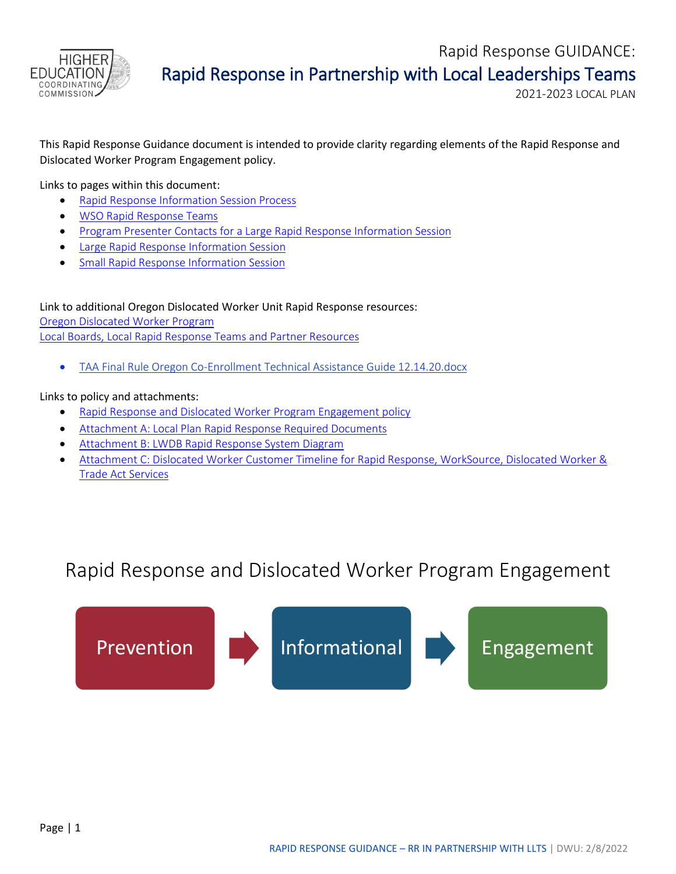

This Rapid Response Guidance document is intended to provide clarity regarding elements of the Rapid Response and Dislocated Worker Program Engagement policy.

Links to pages within this document:

- [Rapid Response Information Session Process](#page-0-0)
- [WSO Rapid Response Teams](#page-2-0)
- [Program Presenter Contacts for a Large Rapid Response Information Session](#page-3-0)
- **[Large Rapid Response Information Session](#page-4-0)**
- [Small Rapid Response Information Session](#page-5-0)

Link to additional Oregon Dislocated Worker Unit Rapid Response resources: [Oregon Dislocated Worker Program](https://www.oregon.gov/highered/institutions-programs/workforce/Pages/dislocated-worker-partner-resources.aspx) [Local Boards, Local Rapid Response Teams and Partner Resources](https://www.oregon.gov/highered/institutions-programs/workforce/Pages/dislocated-worker-partner-resources.aspx)

• [TAA Final Rule Oregon Co-Enrollment Technical Assistance Guide 12.14.20.docx](https://www.oregon.gov/highered/institutions-programs/workforce/Documents/TAA%20Final%20Rule%20Oregon%20Co-Enrollment%20Technical%20Assistance%20Guide%2012.14.20.docx)

#### Links to policy and attachments:

- [Rapid Response and Dislocated Worker Program Engagement policy](https://www.oregon.gov/highered/institutions-programs/workforce/Documents/Dislocated/Rapid%20Response%20and%20Dislocated%20Worker%20Program%20Engagement%20policy.docx)
- [Attachment A: Local Plan Rapid Response Required](https://www.oregon.gov/highered/institutions-programs/workforce/Documents/Dislocated/Attachment%20A%20-%20Local%20Plan%20Rapid%20Response%20Required%20Documents.docx) Documents
- [Attachment B: LWDB Rapid Response System Diagram](https://www.oregon.gov/highered/institutions-programs/workforce/Documents/Dislocated/Attachment%20B%20-%20LWDB%20Rapid%20Response%20System%20Diagram.docx)
- [Attachment C: Dislocated Worker Customer Timeline for Rapid Response, WorkSource, Dislocated Worker &](https://www.oregon.gov/highered/institutions-programs/workforce/SiteAssets/Pages/dislocated-worker-partner-resources/Attachment%20C%20-%20Dislocated%20Worker%20Customer%20Timeline.docx)  [Trade Act Services](https://www.oregon.gov/highered/institutions-programs/workforce/SiteAssets/Pages/dislocated-worker-partner-resources/Attachment%20C%20-%20Dislocated%20Worker%20Customer%20Timeline.docx)

## Rapid Response and Dislocated Worker Program Engagement

<span id="page-0-0"></span>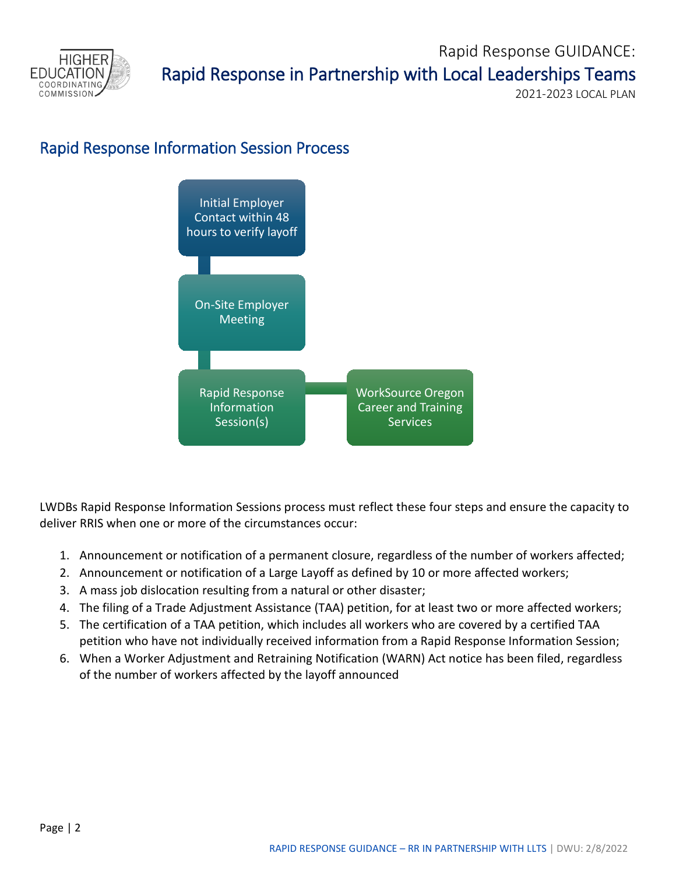

### Rapid Response Information Session Process



LWDBs Rapid Response Information Sessions process must reflect these four steps and ensure the capacity to deliver RRIS when one or more of the circumstances occur:

- 1. Announcement or notification of a permanent closure, regardless of the number of workers affected;
- 2. Announcement or notification of a Large Layoff as defined by 10 or more affected workers;
- 3. A mass job dislocation resulting from a natural or other disaster;
- 4. The filing of a Trade Adjustment Assistance (TAA) petition, for at least two or more affected workers;
- 5. The certification of a TAA petition, which includes all workers who are covered by a certified TAA petition who have not individually received information from a Rapid Response Information Session;
- 6. When a Worker Adjustment and Retraining Notification (WARN) Act notice has been filed, regardless of the number of workers affected by the layoff announced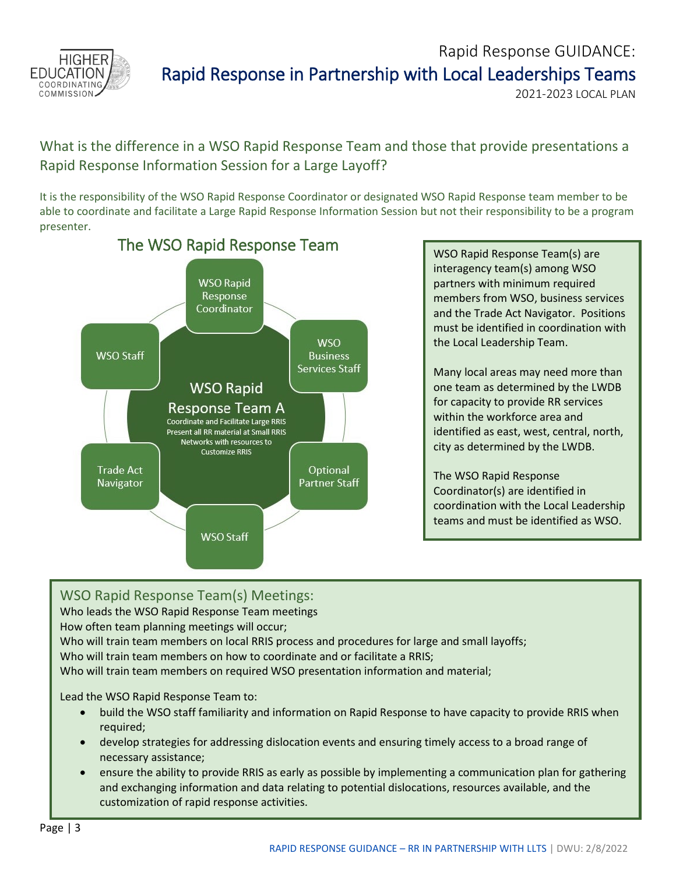<span id="page-2-0"></span>

What is the difference in a WSO Rapid Response Team and those that provide presentations a Rapid Response Information Session for a Large Layoff?

It is the responsibility of the WSO Rapid Response Coordinator or designated WSO Rapid Response team member to be able to coordinate and facilitate a Large Rapid Response Information Session but not their responsibility to be a program presenter.



interagency team(s) among WSO partners with minimum required members from WSO, business services and the Trade Act Navigator. Positions must be identified in coordination with the Local Leadership Team.

Many local areas may need more than one team as determined by the LWDB for capacity to provide RR services within the workforce area and identified as east, west, central, north, city as determined by the LWDB.

The WSO Rapid Response Coordinator(s) are identified in coordination with the Local Leadership teams and must be identified as WSO.

WSO Rapid Response Team(s) Meetings: Who leads the WSO Rapid Response Team meetings How often team planning meetings will occur; Who will train team members on local RRIS process and procedures for large and small layoffs; Who will train team members on how to coordinate and or facilitate a RRIS; Who will train team members on required WSO presentation information and material; Lead the WSO Rapid Response Team to: • build the WSO staff familiarity and information on Rapid Response to have capacity to provide RRIS when required; • develop strategies for addressing dislocation events and ensuring timely access to a broad range of necessary assistance;

• ensure the ability to provide RRIS as early as possible by implementing a communication plan for gathering and exchanging information and data relating to potential dislocations, resources available, and the customization of rapid response activities.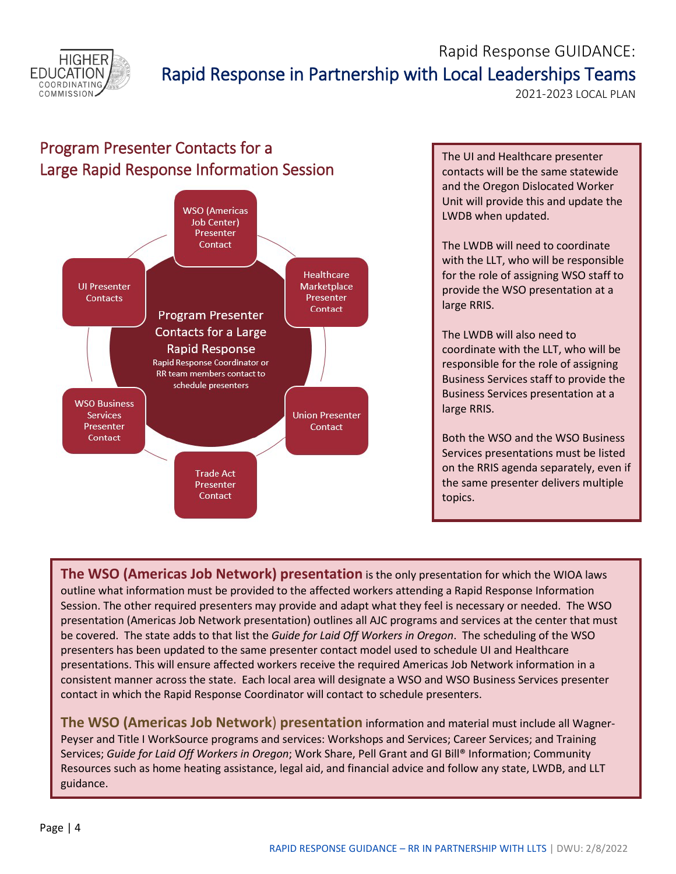<span id="page-3-0"></span>

# Rapid Response GUIDANCE: Rapid Response in Partnership with Local Leaderships Teams<br>2021-2023 LOCAL PLAN

## Program Presenter Contacts for a Large Rapid Response Information Session The UI and Healthcare presenter



contacts will be the same statewide and the Oregon Dislocated Worker Unit will provide this and update the LWDB when updated.

The LWDB will need to coordinate with the LLT, who will be responsible for the role of assigning WSO staff to provide the WSO presentation at a large RRIS.

The LWDB will also need to coordinate with the LLT, who will be responsible for the role of assigning Business Services staff to provide the Business Services presentation at a large RRIS.

Both the WSO and the WSO Business Services presentations must be listed on the RRIS agenda separately, even if the same presenter delivers multiple topics.

**The WSO (Americas Job Network) presentation** is the only presentation for which the WIOA laws outline what information must be provided to the affected workers attending a Rapid Response Information Session. The other required presenters may provide and adapt what they feel is necessary or needed. The WSO presentation (Americas Job Network presentation) outlines all AJC programs and services at the center that must be covered. The state adds to that list the *Guide for Laid Off Workers in Oregon*. The scheduling of the WSO presenters has been updated to the same presenter contact model used to schedule UI and Healthcare presentations. This will ensure affected workers receive the required Americas Job Network information in a consistent manner across the state. Each local area will designate a WSO and WSO Business Services presenter contact in which the Rapid Response Coordinator will contact to schedule presenters.

**The WSO (Americas Job Network**) **presentation** information and material must include all Wagner-Peyser and Title I WorkSource programs and services: Workshops and Services; Career Services; and Training Services; *Guide for Laid Off Workers in Oregon*; Work Share, Pell Grant and GI Bill® Information; Community Resources such as home heating assistance, legal aid, and financial advice and follow any state, LWDB, and LLT guidance.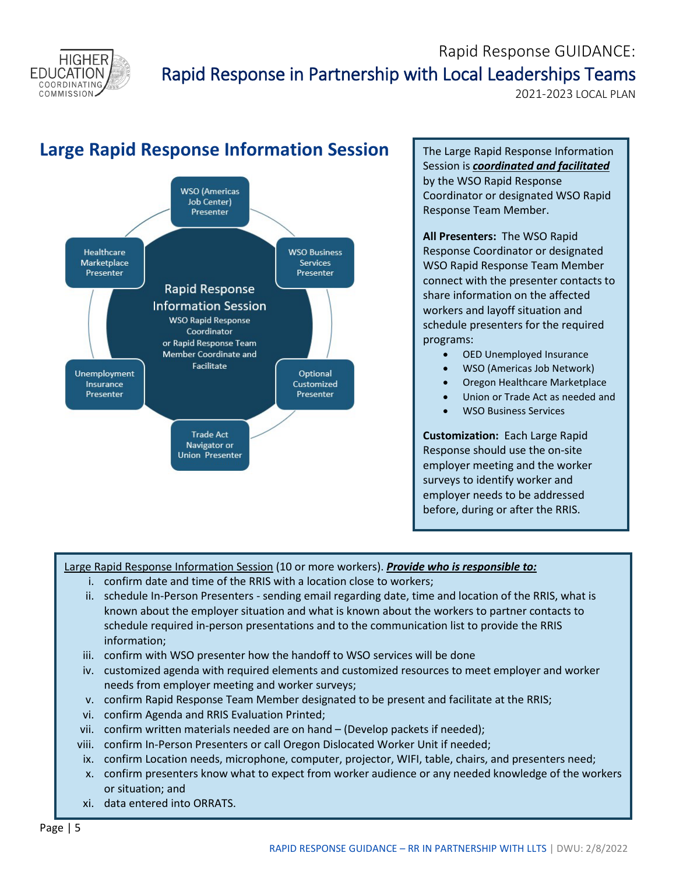<span id="page-4-0"></span>

# Rapid Response GUIDANCE: Rapid Response in Partnership with Local Leaderships Teams<br>2021-2023 LOCAL PLAN

## **Large Rapid Response Information Session** | The Large Rapid Response Information



Session is *coordinated and facilitated* by the WSO Rapid Response Coordinator or designated WSO Rapid Response Team Member.

**All Presenters:** The WSO Rapid Response Coordinator or designated WSO Rapid Response Team Member connect with the presenter contacts to share information on the affected workers and layoff situation and schedule presenters for the required programs:

- OED Unemployed Insurance
- WSO (Americas Job Network)
- Oregon Healthcare Marketplace
- Union or Trade Act as needed and
- WSO Business Services

**Customization:** Each Large Rapid Response should use the on-site employer meeting and the worker surveys to identify worker and employer needs to be addressed before, during or after the RRIS.

#### Large Rapid Response Information Session (10 or more workers). *Provide who is responsible to:*

- i. confirm date and time of the RRIS with a location close to workers;
- ii. schedule In-Person Presenters sending email regarding date, time and location of the RRIS, what is known about the employer situation and what is known about the workers to partner contacts to schedule required in-person presentations and to the communication list to provide the RRIS information;
- iii. confirm with WSO presenter how the handoff to WSO services will be done
- iv. customized agenda with required elements and customized resources to meet employer and worker needs from employer meeting and worker surveys;
- v. confirm Rapid Response Team Member designated to be present and facilitate at the RRIS;
- vi. confirm Agenda and RRIS Evaluation Printed;
- vii. confirm written materials needed are on hand (Develop packets if needed);
- viii. confirm In-Person Presenters or call Oregon Dislocated Worker Unit if needed;
- ix. confirm Location needs, microphone, computer, projector, WIFI, table, chairs, and presenters need;
- x. confirm presenters know what to expect from worker audience or any needed knowledge of the workers or situation; and
- xi. data entered into ORRATS.